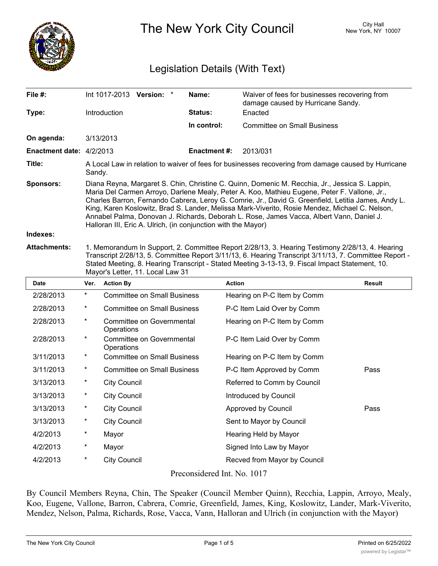

The New York City Council New York, NY 10007

## Legislation Details (With Text)

| File #:                         |                                                                                                                                                                                                                                                                                                                                                                                                                                                                                                                                                                      | Int 1017-2013 Version: *                       | Name:               | Waiver of fees for businesses recovering from<br>damage caused by Hurricane Sandy. |        |
|---------------------------------|----------------------------------------------------------------------------------------------------------------------------------------------------------------------------------------------------------------------------------------------------------------------------------------------------------------------------------------------------------------------------------------------------------------------------------------------------------------------------------------------------------------------------------------------------------------------|------------------------------------------------|---------------------|------------------------------------------------------------------------------------|--------|
| Type:                           |                                                                                                                                                                                                                                                                                                                                                                                                                                                                                                                                                                      | Introduction                                   | Status:             | Enacted                                                                            |        |
|                                 |                                                                                                                                                                                                                                                                                                                                                                                                                                                                                                                                                                      |                                                | In control:         | <b>Committee on Small Business</b>                                                 |        |
| On agenda:                      |                                                                                                                                                                                                                                                                                                                                                                                                                                                                                                                                                                      | 3/13/2013                                      |                     |                                                                                    |        |
| <b>Enactment date: 4/2/2013</b> |                                                                                                                                                                                                                                                                                                                                                                                                                                                                                                                                                                      |                                                | <b>Enactment #:</b> | 2013/031                                                                           |        |
| Title:                          | A Local Law in relation to waiver of fees for businesses recovering from damage caused by Hurricane<br>Sandy.                                                                                                                                                                                                                                                                                                                                                                                                                                                        |                                                |                     |                                                                                    |        |
| Sponsors:                       | Diana Reyna, Margaret S. Chin, Christine C. Quinn, Domenic M. Recchia, Jr., Jessica S. Lappin,<br>Maria Del Carmen Arroyo, Darlene Mealy, Peter A. Koo, Mathieu Eugene, Peter F. Vallone, Jr.,<br>Charles Barron, Fernando Cabrera, Leroy G. Comrie, Jr., David G. Greenfield, Letitia James, Andy L.<br>King, Karen Koslowitz, Brad S. Lander, Melissa Mark-Viverito, Rosie Mendez, Michael C. Nelson,<br>Annabel Palma, Donovan J. Richards, Deborah L. Rose, James Vacca, Albert Vann, Daniel J.<br>Halloran III, Eric A. Ulrich, (in conjunction with the Mayor) |                                                |                     |                                                                                    |        |
| Indexes:                        |                                                                                                                                                                                                                                                                                                                                                                                                                                                                                                                                                                      |                                                |                     |                                                                                    |        |
| <b>Attachments:</b>             | 1. Memorandum In Support, 2. Committee Report 2/28/13, 3. Hearing Testimony 2/28/13, 4. Hearing<br>Transcript 2/28/13, 5. Committee Report 3/11/13, 6. Hearing Transcript 3/11/13, 7. Committee Report -<br>Stated Meeting, 8. Hearing Transcript - Stated Meeting 3-13-13, 9. Fiscal Impact Statement, 10.<br>Mayor's Letter, 11. Local Law 31                                                                                                                                                                                                                      |                                                |                     |                                                                                    |        |
| Date                            | Ver.                                                                                                                                                                                                                                                                                                                                                                                                                                                                                                                                                                 | <b>Action By</b>                               |                     | <b>Action</b>                                                                      | Result |
| 2/28/2013                       | $\star$                                                                                                                                                                                                                                                                                                                                                                                                                                                                                                                                                              | <b>Committee on Small Business</b>             |                     | Hearing on P-C Item by Comm                                                        |        |
| 2/28/2013                       | *                                                                                                                                                                                                                                                                                                                                                                                                                                                                                                                                                                    | <b>Committee on Small Business</b>             |                     | P-C Item Laid Over by Comm                                                         |        |
| 2/28/2013                       | $\star$                                                                                                                                                                                                                                                                                                                                                                                                                                                                                                                                                              | <b>Committee on Governmental</b><br>Operations |                     | Hearing on P-C Item by Comm                                                        |        |
| 2/28/2013                       | $\star$                                                                                                                                                                                                                                                                                                                                                                                                                                                                                                                                                              | <b>Committee on Governmental</b><br>Operations |                     | P-C Item Laid Over by Comm                                                         |        |
| 3/11/2013                       | $\star$                                                                                                                                                                                                                                                                                                                                                                                                                                                                                                                                                              | <b>Committee on Small Business</b>             |                     | Hearing on P-C Item by Comm                                                        |        |
| 3/11/2013                       | $\star$                                                                                                                                                                                                                                                                                                                                                                                                                                                                                                                                                              | <b>Committee on Small Business</b>             |                     | P-C Item Approved by Comm                                                          | Pass   |
| 3/13/2013                       | $\star$                                                                                                                                                                                                                                                                                                                                                                                                                                                                                                                                                              | <b>City Council</b>                            |                     | Referred to Comm by Council                                                        |        |
| 3/13/2013                       | $\ast$                                                                                                                                                                                                                                                                                                                                                                                                                                                                                                                                                               | <b>City Council</b>                            |                     | Introduced by Council                                                              |        |
| 3/13/2013                       | $\star$                                                                                                                                                                                                                                                                                                                                                                                                                                                                                                                                                              | <b>City Council</b>                            |                     | Approved by Council                                                                | Pass   |
| 3/13/2013                       | $^\ast$                                                                                                                                                                                                                                                                                                                                                                                                                                                                                                                                                              | <b>City Council</b>                            |                     | Sent to Mayor by Council                                                           |        |
| 4/2/2013                        | *                                                                                                                                                                                                                                                                                                                                                                                                                                                                                                                                                                    | Mayor                                          |                     | Hearing Held by Mayor                                                              |        |
| 4/2/2013                        | $\star$                                                                                                                                                                                                                                                                                                                                                                                                                                                                                                                                                              | Mayor                                          |                     | Signed Into Law by Mayor                                                           |        |

Preconsidered Int. No. 1017

4/2/2013 \* City Council Recved from Mayor by Council

By Council Members Reyna, Chin, The Speaker (Council Member Quinn), Recchia, Lappin, Arroyo, Mealy, Koo, Eugene, Vallone, Barron, Cabrera, Comrie, Greenfield, James, King, Koslowitz, Lander, Mark-Viverito, Mendez, Nelson, Palma, Richards, Rose, Vacca, Vann, Halloran and Ulrich (in conjunction with the Mayor)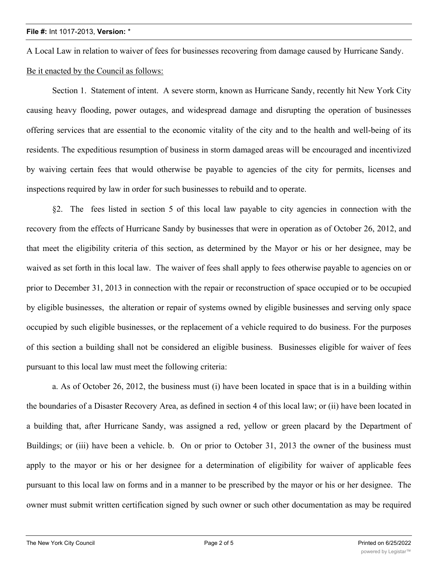A Local Law in relation to waiver of fees for businesses recovering from damage caused by Hurricane Sandy.

## Be it enacted by the Council as follows:

Section 1. Statement of intent. A severe storm, known as Hurricane Sandy, recently hit New York City causing heavy flooding, power outages, and widespread damage and disrupting the operation of businesses offering services that are essential to the economic vitality of the city and to the health and well-being of its residents. The expeditious resumption of business in storm damaged areas will be encouraged and incentivized by waiving certain fees that would otherwise be payable to agencies of the city for permits, licenses and inspections required by law in order for such businesses to rebuild and to operate.

§2. The fees listed in section 5 of this local law payable to city agencies in connection with the recovery from the effects of Hurricane Sandy by businesses that were in operation as of October 26, 2012, and that meet the eligibility criteria of this section, as determined by the Mayor or his or her designee, may be waived as set forth in this local law. The waiver of fees shall apply to fees otherwise payable to agencies on or prior to December 31, 2013 in connection with the repair or reconstruction of space occupied or to be occupied by eligible businesses, the alteration or repair of systems owned by eligible businesses and serving only space occupied by such eligible businesses, or the replacement of a vehicle required to do business. For the purposes of this section a building shall not be considered an eligible business. Businesses eligible for waiver of fees pursuant to this local law must meet the following criteria:

a. As of October 26, 2012, the business must (i) have been located in space that is in a building within the boundaries of a Disaster Recovery Area, as defined in section 4 of this local law; or (ii) have been located in a building that, after Hurricane Sandy, was assigned a red, yellow or green placard by the Department of Buildings; or (iii) have been a vehicle. b. On or prior to October 31, 2013 the owner of the business must apply to the mayor or his or her designee for a determination of eligibility for waiver of applicable fees pursuant to this local law on forms and in a manner to be prescribed by the mayor or his or her designee. The owner must submit written certification signed by such owner or such other documentation as may be required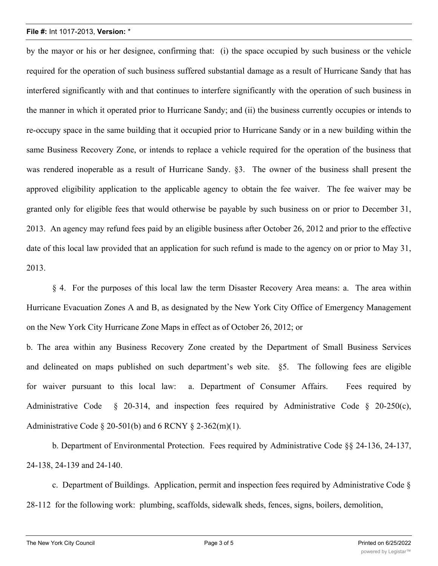## **File #:** Int 1017-2013, **Version:** \*

by the mayor or his or her designee, confirming that: (i) the space occupied by such business or the vehicle required for the operation of such business suffered substantial damage as a result of Hurricane Sandy that has interfered significantly with and that continues to interfere significantly with the operation of such business in the manner in which it operated prior to Hurricane Sandy; and (ii) the business currently occupies or intends to re-occupy space in the same building that it occupied prior to Hurricane Sandy or in a new building within the same Business Recovery Zone, or intends to replace a vehicle required for the operation of the business that was rendered inoperable as a result of Hurricane Sandy. §3. The owner of the business shall present the approved eligibility application to the applicable agency to obtain the fee waiver. The fee waiver may be granted only for eligible fees that would otherwise be payable by such business on or prior to December 31, 2013. An agency may refund fees paid by an eligible business after October 26, 2012 and prior to the effective date of this local law provided that an application for such refund is made to the agency on or prior to May 31, 2013.

§ 4. For the purposes of this local law the term Disaster Recovery Area means: a. The area within Hurricane Evacuation Zones A and B, as designated by the New York City Office of Emergency Management on the New York City Hurricane Zone Maps in effect as of October 26, 2012; or

b. The area within any Business Recovery Zone created by the Department of Small Business Services and delineated on maps published on such department's web site. §5. The following fees are eligible for waiver pursuant to this local law: a. Department of Consumer Affairs. Fees required by Administrative Code § 20-314, and inspection fees required by Administrative Code § 20-250(c), Administrative Code  $\S 20-501(b)$  and 6 RCNY  $\S 2-362(m)(1)$ .

b. Department of Environmental Protection. Fees required by Administrative Code §§ 24-136, 24-137, 24-138, 24-139 and 24-140.

c. Department of Buildings. Application, permit and inspection fees required by Administrative Code § 28-112 for the following work: plumbing, scaffolds, sidewalk sheds, fences, signs, boilers, demolition,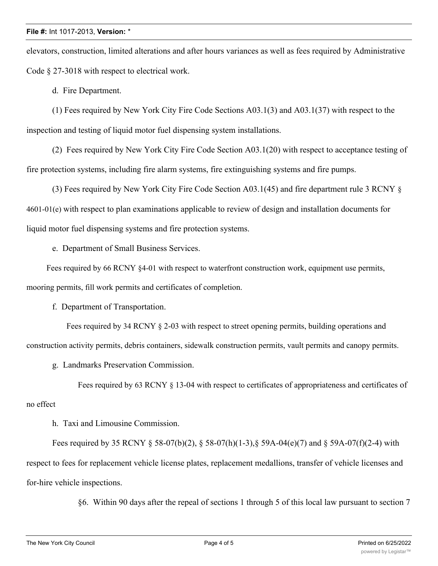elevators, construction, limited alterations and after hours variances as well as fees required by Administrative Code § 27-3018 with respect to electrical work.

d. Fire Department.

(1) Fees required by New York City Fire Code Sections A03.1(3) and A03.1(37) with respect to the inspection and testing of liquid motor fuel dispensing system installations.

(2) Fees required by New York City Fire Code Section A03.1(20) with respect to acceptance testing of fire protection systems, including fire alarm systems, fire extinguishing systems and fire pumps.

(3) Fees required by New York City Fire Code Section A03.1(45) and fire department rule 3 RCNY § 4601-01(e) with respect to plan examinations applicable to review of design and installation documents for liquid motor fuel dispensing systems and fire protection systems.

e. Department of Small Business Services.

Fees required by 66 RCNY §4-01 with respect to waterfront construction work, equipment use permits, mooring permits, fill work permits and certificates of completion.

f. Department of Transportation.

Fees required by 34 RCNY § 2-03 with respect to street opening permits, building operations and construction activity permits, debris containers, sidewalk construction permits, vault permits and canopy permits.

g. Landmarks Preservation Commission.

Fees required by 63 RCNY § 13-04 with respect to certificates of appropriateness and certificates of no effect

h. Taxi and Limousine Commission.

Fees required by 35 RCNY § 58-07(b)(2), § 58-07(h)(1-3), § 59A-04(e)(7) and § 59A-07(f)(2-4) with respect to fees for replacement vehicle license plates, replacement medallions, transfer of vehicle licenses and for-hire vehicle inspections.

§6. Within 90 days after the repeal of sections 1 through 5 of this local law pursuant to section 7